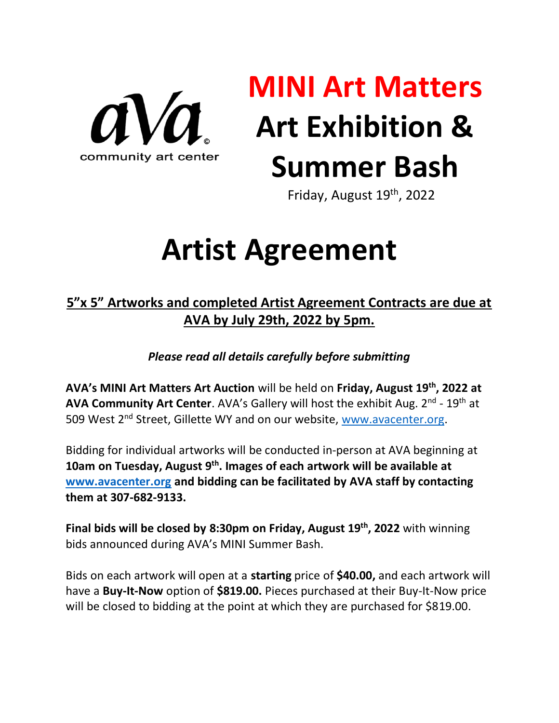

# **MINI Art Matters Art Exhibition & Summer Bash**

Friday, August 19th, 2022

## **Artist Agreement**

#### **5"x 5" Artworks and completed Artist Agreement Contracts are due at AVA by July 29th, 2022 by 5pm.**

*Please read all details carefully before submitting*

**AVA's MINI Art Matters Art Auction** will be held on **Friday, August 19th, 2022 at AVA Community Art Center**. AVA's Gallery will host the exhibit Aug. 2<sup>nd</sup> - 19<sup>th</sup> at 509 West 2<sup>nd</sup> Street, Gillette WY and on our website, [www.avacenter.org.](http://www.avacenter.org/)

Bidding for individual artworks will be conducted in-person at AVA beginning at **10am on Tuesday, August 9 th . Images of each artwork will be available at [www.avacenter.org](http://www.avacenter.org/) and bidding can be facilitated by AVA staff by contacting them at 307-682-9133.** 

**Final bids will be closed by 8:30pm on Friday, August 19th, 2022** with winning bids announced during AVA's MINI Summer Bash.

Bids on each artwork will open at a **starting** price of **\$40.00,** and each artwork will have a **Buy-It-Now** option of **\$819.00.** Pieces purchased at their Buy-It-Now price will be closed to bidding at the point at which they are purchased for \$819.00.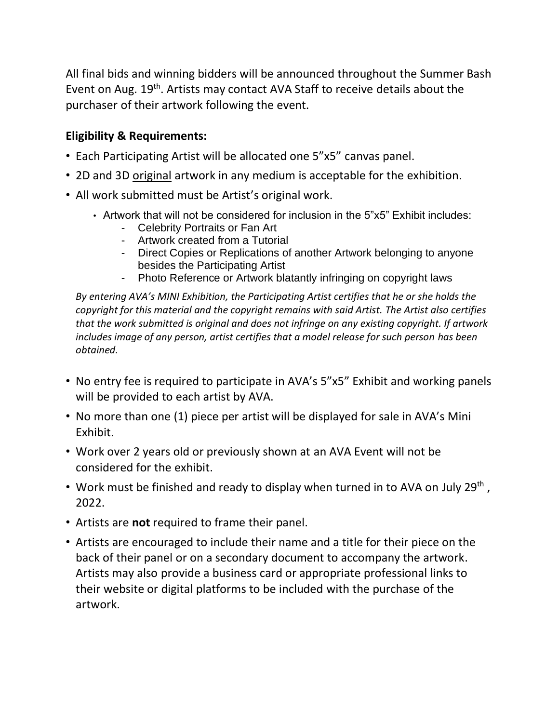All final bids and winning bidders will be announced throughout the Summer Bash Event on Aug. 19<sup>th</sup>. Artists may contact AVA Staff to receive details about the purchaser of their artwork following the event.

#### **Eligibility & Requirements:**

- Each Participating Artist will be allocated one 5"x5" canvas panel.
- 2D and 3D original artwork in any medium is acceptable for the exhibition.
- All work submitted must be Artist's original work.
	- Artwork that will not be considered for inclusion in the 5"x5" Exhibit includes:
		- Celebrity Portraits or Fan Art
		- Artwork created from a Tutorial
		- Direct Copies or Replications of another Artwork belonging to anyone besides the Participating Artist
		- Photo Reference or Artwork blatantly infringing on copyright laws

*By entering AVA's MINI Exhibition, the Participating Artist certifies that he or she holds the copyright for this material and the copyright remains with said Artist. The Artist also certifies that the work submitted is original and does not infringe on any existing copyright. If artwork includes image of any person, artist certifies that a model release for such person has been obtained.*

- No entry fee is required to participate in AVA's 5"x5" Exhibit and working panels will be provided to each artist by AVA.
- No more than one (1) piece per artist will be displayed for sale in AVA's Mini Exhibit.
- Work over 2 years old or previously shown at an AVA Event will not be considered for the exhibit.
- Work must be finished and ready to display when turned in to AVA on July 29<sup>th</sup>, 2022.
- Artists are **not** required to frame their panel.
- Artists are encouraged to include their name and a title for their piece on the back of their panel or on a secondary document to accompany the artwork. Artists may also provide a business card or appropriate professional links to their website or digital platforms to be included with the purchase of the artwork.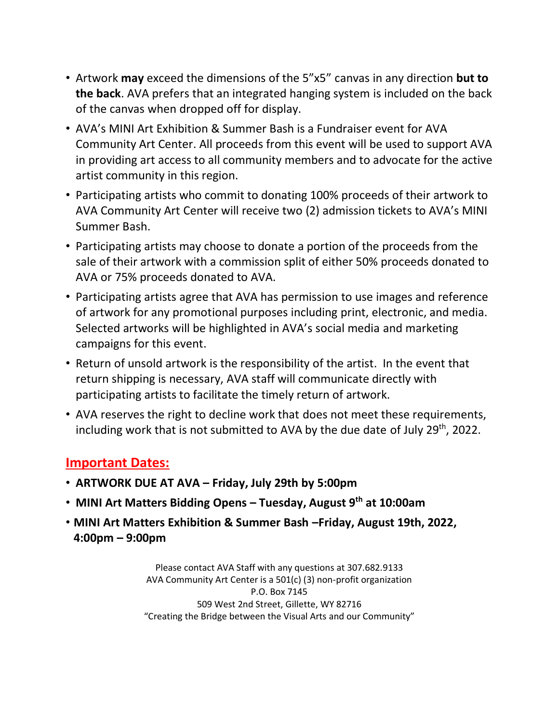- Artwork **may** exceed the dimensions of the 5"x5" canvas in any direction **but to the back**. AVA prefers that an integrated hanging system is included on the back of the canvas when dropped off for display.
- AVA's MINI Art Exhibition & Summer Bash is a Fundraiser event for AVA Community Art Center. All proceeds from this event will be used to support AVA in providing art access to all community members and to advocate for the active artist community in this region.
- Participating artists who commit to donating 100% proceeds of their artwork to AVA Community Art Center will receive two (2) admission tickets to AVA's MINI Summer Bash.
- Participating artists may choose to donate a portion of the proceeds from the sale of their artwork with a commission split of either 50% proceeds donated to AVA or 75% proceeds donated to AVA.
- Participating artists agree that AVA has permission to use images and reference of artwork for any promotional purposes including print, electronic, and media. Selected artworks will be highlighted in AVA's social media and marketing campaigns for this event.
- Return of unsold artwork is the responsibility of the artist. In the event that return shipping is necessary, AVA staff will communicate directly with participating artists to facilitate the timely return of artwork.
- AVA reserves the right to decline work that does not meet these requirements, including work that is not submitted to AVA by the due date of July 29<sup>th</sup>, 2022.

#### **Important Dates:**

- **ARTWORK DUE AT AVA – Friday, July 29th by 5:00pm**
- **MINI Art Matters Bidding Opens – Tuesday, August 9th at 10:00am**
- **MINI Art Matters Exhibition & Summer Bash –Friday, August 19th, 2022, 4:00pm – 9:00pm**

Please contact AVA Staff with any questions at 307.682.9133 AVA Community Art Center is a 501(c) (3) non-profit organization P.O. Box 7145 509 West 2nd Street, Gillette, WY 82716 "Creating the Bridge between the Visual Arts and our Community"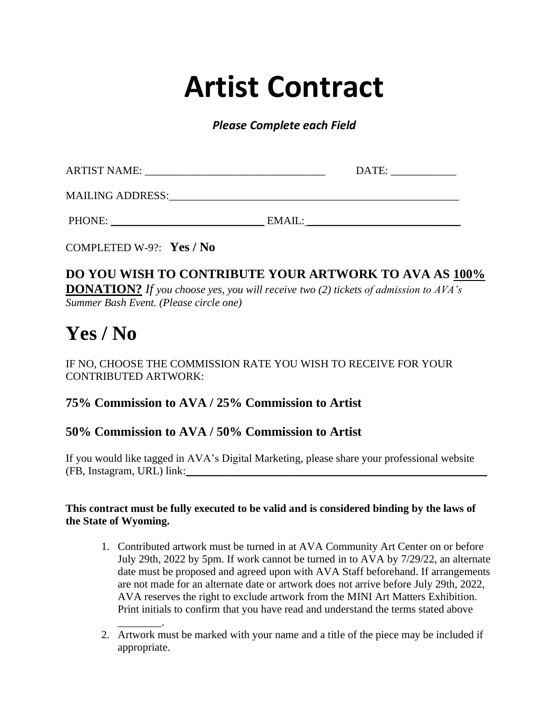### **Artist Contract**

*Please Complete each Field*

| <b>ARTIST NAME:</b>     |        | DATE: |  |
|-------------------------|--------|-------|--|
| <b>MAILING ADDRESS:</b> |        |       |  |
| PHONE:                  | EMAIL: |       |  |

COMPLETED W-9?: **Yes / No**

#### **DO YOU WISH TO CONTRIBUTE YOUR ARTWORK TO AVA AS 100% DONATION?** *If you choose yes, you will receive two (2) tickets of admission to AVA's Summer Bash Event. (Please circle one)*

### **Yes / No**

#### IF NO, CHOOSE THE COMMISSION RATE YOU WISH TO RECEIVE FOR YOUR CONTRIBUTED ARTWORK:

#### **75% Commission to AVA / 25% Commission to Artist**

#### **50% Commission to AVA / 50% Commission to Artist**

If you would like tagged in AVA's Digital Marketing, please share your professional website (FB, Instagram, URL) link:\_\_\_\_\_\_\_\_\_\_\_\_\_\_\_\_\_\_\_\_\_\_\_\_\_\_\_\_\_\_\_\_\_\_\_\_\_\_\_\_\_\_\_\_\_\_\_\_\_\_\_\_\_\_\_

#### **This contract must be fully executed to be valid and is considered binding by the laws of the State of Wyoming.**

- 1. Contributed artwork must be turned in at AVA Community Art Center on or before July 29th, 2022 by 5pm. If work cannot be turned in to AVA by 7/29/22, an alternate date must be proposed and agreed upon with AVA Staff beforehand. If arrangements are not made for an alternate date or artwork does not arrive before July 29th, 2022, AVA reserves the right to exclude artwork from the MINI Art Matters Exhibition. Print initials to confirm that you have read and understand the terms stated above
- $\overline{\phantom{a}}$  . 2. Artwork must be marked with your name and a title of the piece may be included if appropriate.